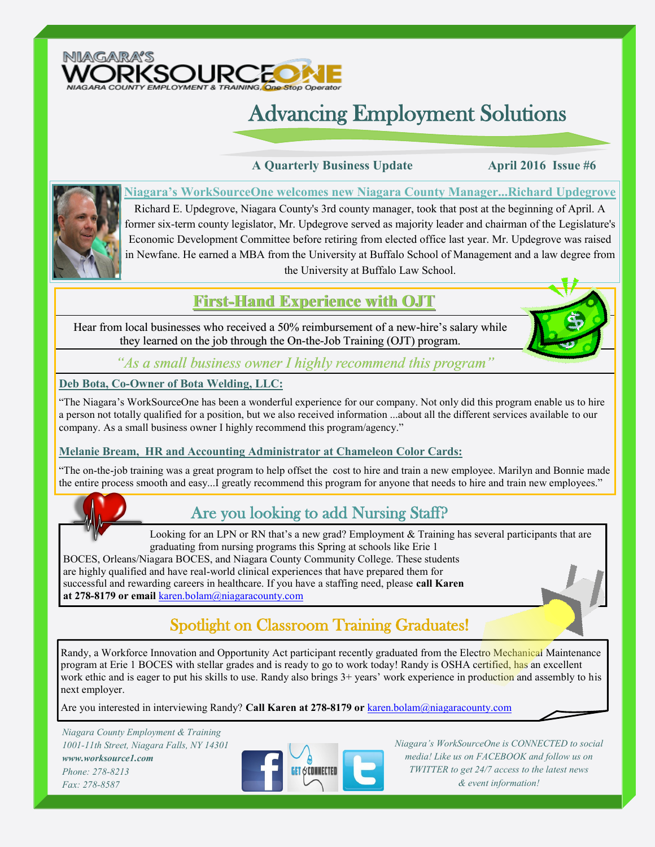

# Advancing Employment Solutions

 **A Quarterly Business Update April 2016 Issue #6**



**Niagara's WorkSourceOne welcomes new Niagara County Manager...Richard Updegrove** Richard E. Updegrove, Niagara County's 3rd county manager, took that post at the beginning of April. A former six-term county legislator, Mr. Updegrove served as majority leader and chairman of the Legislature's Economic Development Committee before retiring from elected office last year. Mr. Updegrove was raised in Newfane. He earned a MBA from the University at Buffalo School of Management and a law degree from the University at Buffalo Law School.

## **First-Hand Experience with OJT**

Hear from local businesses who received a 50% reimbursement of a new-hire's salary while they learned on the job through the On-the-Job Training (OJT) program.



**Deb Bota, Co-Owner of Bota Welding, LLC:**

"The Niagara's WorkSourceOne has been a wonderful experience for our company. Not only did this program enable us to hire a person not totally qualified for a position, but we also received information ...about all the different services available to our company. As a small business owner I highly recommend this program/agency."

#### **Melanie Bream, HR and Accounting Administrator at Chameleon Color Cards:**

"The on-the-job training was a great program to help offset the cost to hire and train a new employee. Marilyn and Bonnie made the entire process smooth and easy...I greatly recommend this program for anyone that needs to hire and train new employees."



# Are you looking to add Nursing Staff?

Looking for an LPN or RN that's a new grad? Employment & Training has several participants that are graduating from nursing programs this Spring at schools like Erie 1

BOCES, Orleans/Niagara BOCES, and Niagara County Community College. These students are highly qualified and have real-world clinical experiences that have prepared them for successful and rewarding careers in healthcare. If you have a staffing need, please **call Karen at 278-8179 or email** karen.bolam@niagaracounty.com

# Spotlight on Classroom Training Graduates!

Randy, a Workforce Innovation and Opportunity Act participant recently graduated from the Electro Mechanical Maintenance program at Erie 1 BOCES with stellar grades and is ready to go to work today! Randy is OSHA certified, has an excellent work ethic and is eager to put his skills to use. Randy also brings  $3+$  years' work experience in production and assembly to his next employer.

Are you interested in interviewing Randy? **Call Karen at 278-8179 or** karen.bolam@niagaracounty.com

*Niagara County Employment & Training 1001-11th Street, Niagara Falls, NY 14301 www.worksource1.com Phone: 278-8213 Fax: 278-8587*



*Niagara's WorkSourceOne is CONNECTED to social media! Like us on FACEBOOK and follow us on TWITTER to get 24/7 access to the latest news & event information!*